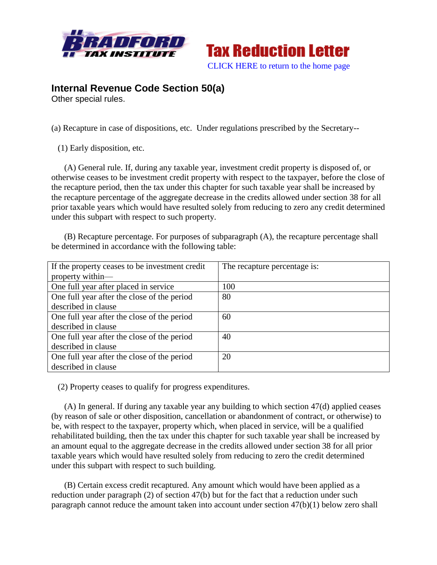



## **Internal Revenue Code Section 50(a)**

Other special rules.

(a) Recapture in case of dispositions, etc. Under regulations prescribed by the Secretary--

(1) Early disposition, etc.

 (A) General rule. If, during any taxable year, investment credit property is disposed of, or otherwise ceases to be investment credit property with respect to the taxpayer, before the close of the recapture period, then the tax under this chapter for such taxable year shall be increased by the recapture percentage of the aggregate decrease in the credits allowed under section 38 for all prior taxable years which would have resulted solely from reducing to zero any credit determined under this subpart with respect to such property.

 (B) Recapture percentage. For purposes of subparagraph (A), the recapture percentage shall be determined in accordance with the following table:

| If the property ceases to be investment credit | The recapture percentage is: |
|------------------------------------------------|------------------------------|
| property within-                               |                              |
| One full year after placed in service          | 100                          |
| One full year after the close of the period    | 80                           |
| described in clause                            |                              |
| One full year after the close of the period    | 60                           |
| described in clause                            |                              |
| One full year after the close of the period    | 40                           |
| described in clause                            |                              |
| One full year after the close of the period    | 20                           |
| described in clause                            |                              |

(2) Property ceases to qualify for progress expenditures.

 (A) In general. If during any taxable year any building to which section 47(d) applied ceases (by reason of sale or other disposition, cancellation or abandonment of contract, or otherwise) to be, with respect to the taxpayer, property which, when placed in service, will be a qualified rehabilitated building, then the tax under this chapter for such taxable year shall be increased by an amount equal to the aggregate decrease in the credits allowed under section 38 for all prior taxable years which would have resulted solely from reducing to zero the credit determined under this subpart with respect to such building.

 (B) Certain excess credit recaptured. Any amount which would have been applied as a reduction under paragraph (2) of section 47(b) but for the fact that a reduction under such paragraph cannot reduce the amount taken into account under section 47(b)(1) below zero shall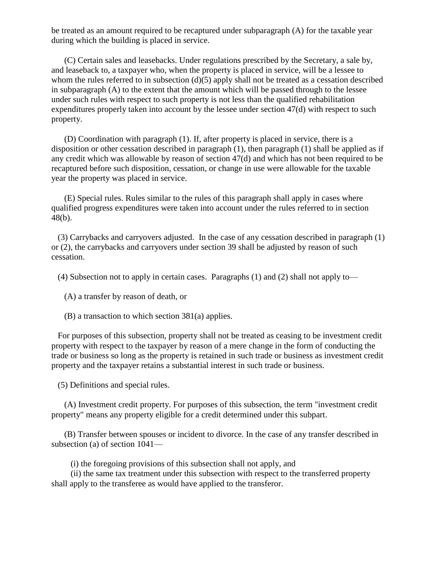be treated as an amount required to be recaptured under subparagraph (A) for the taxable year during which the building is placed in service.

 (C) Certain sales and leasebacks. Under regulations prescribed by the Secretary, a sale by, and leaseback to, a taxpayer who, when the property is placed in service, will be a lessee to whom the rules referred to in subsection (d)(5) apply shall not be treated as a cessation described in subparagraph (A) to the extent that the amount which will be passed through to the lessee under such rules with respect to such property is not less than the qualified rehabilitation expenditures properly taken into account by the lessee under section 47(d) with respect to such property.

 (D) Coordination with paragraph (1). If, after property is placed in service, there is a disposition or other cessation described in paragraph (1), then paragraph (1) shall be applied as if any credit which was allowable by reason of section 47(d) and which has not been required to be recaptured before such disposition, cessation, or change in use were allowable for the taxable year the property was placed in service.

 (E) Special rules. Rules similar to the rules of this paragraph shall apply in cases where qualified progress expenditures were taken into account under the rules referred to in section 48(b).

 (3) Carrybacks and carryovers adjusted. In the case of any cessation described in paragraph (1) or (2), the carrybacks and carryovers under section 39 shall be adjusted by reason of such cessation.

(4) Subsection not to apply in certain cases. Paragraphs (1) and (2) shall not apply to—

(A) a transfer by reason of death, or

(B) a transaction to which section 381(a) applies.

 For purposes of this subsection, property shall not be treated as ceasing to be investment credit property with respect to the taxpayer by reason of a mere change in the form of conducting the trade or business so long as the property is retained in such trade or business as investment credit property and the taxpayer retains a substantial interest in such trade or business.

(5) Definitions and special rules.

 (A) Investment credit property. For purposes of this subsection, the term "investment credit property" means any property eligible for a credit determined under this subpart.

 (B) Transfer between spouses or incident to divorce. In the case of any transfer described in subsection (a) of section 1041—

(i) the foregoing provisions of this subsection shall not apply, and

 (ii) the same tax treatment under this subsection with respect to the transferred property shall apply to the transferee as would have applied to the transferor.